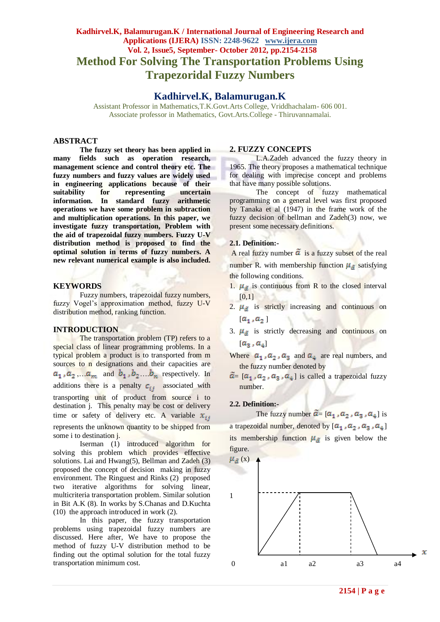# **Kadhirvel.K, Balamurugan.K / International Journal of Engineering Research and Applications (IJERA) ISSN: 2248-9622 www.ijera.com Vol. 2, Issue5, September- October 2012, pp.2154-2158 Method For Solving The Transportation Problems Using Trapezoridal Fuzzy Numbers**

# **Kadhirvel.K, Balamurugan.K**

Assistant Professor in Mathematics,T.K.Govt.Arts College, Vriddhachalam- 606 001. Associate professor in Mathematics, Govt.Arts.College - Thiruvannamalai.

### **ABSTRACT**

**The fuzzy set theory has been applied in many fields such as operation research, management science and control theory etc. The fuzzy numbers and fuzzy values are widely used in engineering applications because of their suitability for representing uncertain information. In standard fuzzy arithmetic operations we have some problem in subtraction and multiplication operations. In this paper, we investigate fuzzy transportation, Problem with the aid of trapezoidal fuzzy numbers. Fuzzy U-V distribution method is proposed to find the optimal solution in terms of fuzzy numbers. A new relevant numerical example is also included.**

#### **KEYWORDS**

Fuzzy numbers, trapezoidal fuzzy numbers, fuzzy Vogel's approximation method, fuzzy U-V distribution method, ranking function.

#### **INTRODUCTION**

The transportation problem (TP) refers to a special class of linear programming problems. In a typical problem a product is to transported from m sources to n designations and their capacities are  $a_1$ ,  $a_2$ ,  $a_m$  and  $b_1$ ,  $b_2$ ,  $b_n$  respectively. In additions there is a penalty  $c_{ij}$  associated with transporting unit of product from source i to destination j. This penalty may be cost or delivery time or safety of delivery etc. A variable  $x_{ij}$ represents the unknown quantity to be shipped from some i to destination j.

Iserman (1) introduced algorithm for solving this problem which provides effective solutions. Lai and Hwang(5), Bellman and Zadeh (3) proposed the concept of decision making in fuzzy environment. The Ringuest and Rinks (2) proposed two iterative algorithms for solving linear, multicriteria transportation problem. Similar solution in Bit A.K (8). In works by S.Chanas and D.Kuchta (10) the approach introduced in work (2).

In this paper, the fuzzy transportation problems using trapezoidal fuzzy numbers are discussed. Here after, We have to propose the method of fuzzy U-V distribution method to be finding out the optimal solution for the total fuzzy transportation minimum cost.

#### **2. FUZZY CONCEPTS**

L.A.Zadeh advanced the fuzzy theory in 1965. The theory proposes a mathematical technique for dealing with imprecise concept and problems that have many possible solutions.

The concept of fuzzy mathematical programming on a general level was first proposed by Tanaka et al (1947) in the frame work of the fuzzy decision of bellman and Zadeh(3) now, we present some necessary definitions.

# **2.1. Definition:-**

A real fuzzy number  $\tilde{a}$  is a fuzzy subset of the real

number R. with membership function  $\mu_{\tilde{a}}$  satisfying the following conditions.

- 1.  $\mu_{\tilde{a}}$  is continuous from R to the closed interval  $[0,1]$
- 2.  $\mu_{\tilde{a}}$  is strictly increasing and continuous on  $[a_1, a_2]$
- 3.  $\mu_{\tilde{a}}$  is strictly decreasing and continuous on  $[a_3, a_4]$
- Where  $a_1$ ,  $a_2$ ,  $a_3$  and  $a_4$  are real numbers, and the fuzzy number denoted by
- $\tilde{a} = [a_1, a_2, a_3, a_4]$  is called a trapezoidal fuzzy number.

# **2.2. Definition:-**

The fuzzy number  $\tilde{a} = [\alpha_1, \alpha_2, \alpha_3, \alpha_4]$  is a trapezoidal number, denoted by  $[a_1, a_2, a_3, a_4]$ its membership function  $\mu_{\tilde{a}}$  is given below the figure.

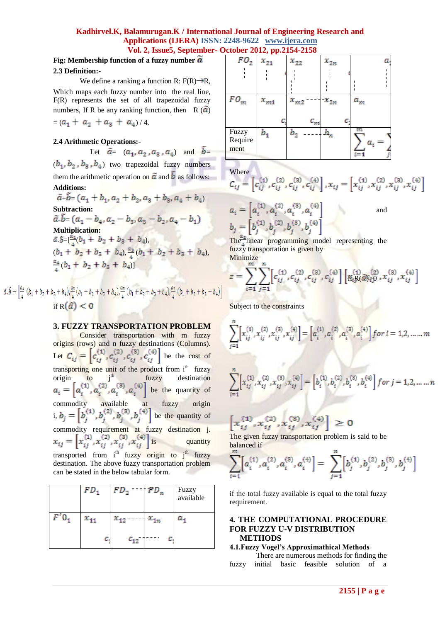# **Kadhirvel.K, Balamurugan.K / International Journal of Engineering Research and Applications (IJERA) ISSN: 2248-9622 www.ijera.com Vol. 2, Issue5, September- October 2012, pp.2154-2158**

# **Fig: Membership function of a fuzzy number**

#### **2.3 Definition:-**

We define a ranking a function R:  $F(R) \rightarrow R$ , Which maps each fuzzy number into the real line, F(R) represents the set of all trapezoidal fuzzy numbers. If R be any ranking function, then R  $(\tilde{\alpha})$ 

$$
= (a_1 + a_2 + a_3 + a_4)/4.
$$

# **2.4 Arithmetic Operations:-**

Let 
$$
\tilde{a} = (a_1, a_2, a_3, a_4)
$$
 and  $\tilde{b} =$ 

 $(b_1, b_2, b_3, b_4)$  two trapezoidal fuzzy numbers them the arithmetic operation on  $\tilde{a}$  and  $\tilde{b}$  as follows: **Additions:**

 $\tilde{a}_+ \tilde{b}_=(a_1+b_1,a_2+b_2,a_3+b_3,a_4+b_4)$ **Subtraction:**  $\tilde{a}\tilde{b}=(a_1-b_4,a_2-b_3,a_3-b_2,a_4-b_1)$ **Multiplication:**  $b = \frac{b-1}{b-1}(b_1 + b_2 + b_3 + b_4)$  $(b_1 + b_2 + b_3 + b_4), \frac{a_3}{4}(b_1 + b_2 + b_3 + b_4),$  $\frac{a_4}{4} (b_1 + b_2 + b_3 + b_4)$ 

$$
\tilde{b} = \left[ \frac{a_4}{4} \left( b_1 + b_2 + b_3 + b_4 \right) \right] \frac{a_3}{4} \left( b_1 + b_2 + b_3 + b_4 \right) \frac{a_2}{4} \left( b_1 + b_2 + b_3 + b_4 \right) \frac{a_4}{4} \left( b_1 + b_2 + b_3 + b_4 \right) \right]
$$
\nif  $\mathbf{R}(\widehat{G}) < 0$ 

ã.

# **3. FUZZY TRANSPORTATION PROBLEM**

Consider transportation with m fuzzy origins (rows) and n fuzzy destinations (Columns). Let  $C_{ij} = \left[ c_{ij}^{(1)}, c_{ij}^{(2)}, c_{ij}^{(3)}, c_{ij}^{(4)} \right]$  be the cost of transporting one unit of the product from i<sup>th</sup> fuzzy origin to  $j<sup>th</sup>$  fuzzy destination be the quantity of commodity available at fuzzy origin i,  $b_i = [b_i^{(1)}, b_i^{(2)}, b_i^{(3)}, b_i^{(4)}]$  be the quantity of commodity requirement at fuzzy destination j.<br>  $x_{ij} = \left[ x_{ij}^{(1)}, x_{ij}^{(2)}, x_{ij}^{(3)}, x_{ij}^{(4)} \right]$  is quantity quantity transported from  $i<sup>th</sup>$  fuzzy origin to  $i<sup>th</sup>$  fuzzy destination. The above fuzzy transportation problem can be stated in the below tabular form.

| $FD_{1}$ | FD,      | $\lceil FD_n \rceil$ | Fuzzy<br>available |
|----------|----------|----------------------|--------------------|
| $x_{11}$ |          | $x_{1n}$             |                    |
| c.       | $c_{12}$ |                      |                    |

| $FO_2 \,   \, x_{21}$ |          |    | $x_{22}$ | $x_{2n}$ | а                  |
|-----------------------|----------|----|----------|----------|--------------------|
|                       |          |    |          |          |                    |
|                       |          |    |          |          |                    |
| ${\cal FO}_m$         | $x_{m1}$ |    | $x_{m2}$ | $x_{2n}$ | $a_{\mathfrak{m}}$ |
|                       |          |    |          |          |                    |
|                       |          | с, | $c_m^{}$ | c.       |                    |
| Fuzzy                 | $_{b_1}$ |    |          | $b_n$    | m                  |
| Require               |          |    |          |          | $a_i^{}$           |
| ment                  |          |    |          |          | $i = 1$            |
|                       |          |    |          |          |                    |

Where

$$
C_{ij} = \left[ c_{ij}^{(1)}, c_{ij}^{(2)}, c_{ij}^{(3)}, c_{ij}^{(4)} \right], x_{ij} = \left[ x_{ij}^{(1)}, x_{ij}^{(2)}, x_{ij}^{(3)}, x_{ij}^{(4)} \right]
$$
  

$$
a_i = \left[ a_i^{(1)}, a_i^{(2)}, a_i^{(3)}, a_i^{(4)} \right]
$$
 and

 $b_j = \left[b_j^{(1)}, b_j^{(2)}, b_j^{(3)}, b_j^{(4)}\right]$ The linear programming model representing the fuzzy transportation is given by

Minimize

$$
z = \sum_{i=1}^{N} \sum_{j=1}^{N} \left[ c_{ij}^{(1)}, c_{ij}^{(2)}, c_{ij}^{(3)}, c_{ij}^{(4)} \right] \left[ \mathbf{r}_{ik}^{(1)}(\mathbf{a}_{jk}^{(2)}, \mathbf{x}_{ij}^{(3)}, \mathbf{x}_{ij}^{(4)} \right]
$$

Subject to the constraints

$$
\sum_{j=1}^{n} \left[ x_{ij}^{(1)}, x_{ij}^{(2)}, x_{ij}^{(3)}, x_{ij}^{(4)} \right] = \left[ a_i^{(1)}, a_i^{(2)}, a_i^{(3)}, a_i^{(4)} \right] \text{ for } i = 1, 2, \dots, m
$$

$$
\sum_{i=1} \left[ x_{ij}^{(1)}, x_{ij}^{(2)}, x_{ij}^{(3)}, x_{ij}^{(4)} \right] = \left[ b_i^{(1)}, b_i^{(2)}, b_i^{(3)}, b_i^{(4)} \right] for \: j = 1, 2, \ldots \ldots n
$$

$$
\left[x_{ij}^{(1)}, x_{ij}^{(2)}, x_{ij}^{(3)}, x_{ij}^{(4)}\right] \geq 0
$$

The given fuzzy transportation problem is said to be balanced if

$$
\sum_{i=1}^{m} \left[ a_i^{(1)}, a_i^{(2)}, a_i^{(3)}, a_i^{(4)} \right] = \sum_{j=1}^{n} \left[ b_j^{(1)}, b_j^{(2)}, b_j^{(3)}, b_j^{(4)} \right]
$$

if the total fuzzy available is equal to the total fuzzy requirement.

# **4. THE COMPUTATIONAL PROCEDURE FOR FUZZY U-V DISTRIBUTION METHODS**

#### **4.1.Fuzzy Vogel's Approximathical Methods**

There are numerous methods for finding the fuzzy initial basic feasible solution of a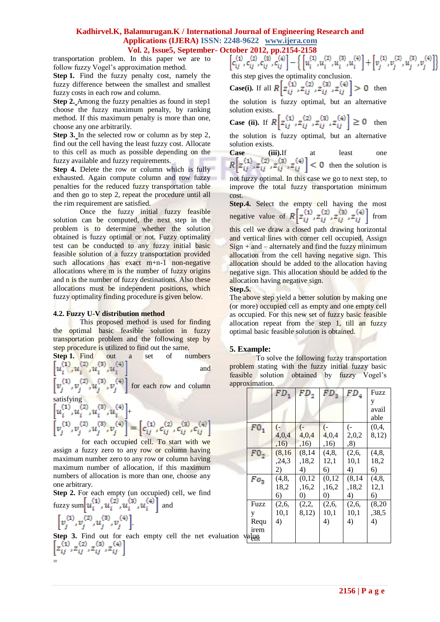# **Kadhirvel.K, Balamurugan.K / International Journal of Engineering Research and Applications (IJERA) ISSN: 2248-9622 www.ijera.com Vol. 2, Issue5, September- October 2012, pp.2154-2158**<br>In this paper we are to  $\begin{bmatrix} c_{ij}^{(1)}, c_{ij}^{(2)}, c_{ij}^{(3)}, c_{ij}^{(4)} \end{bmatrix} - \left\{ \begin{bmatrix} u_i^{(1)}, u_i^{(2)}, u_i^{(3)}, u_i^{(4)} \end{bmatrix} + \begin{bmatrix} v_i^{(1)}, v_j^{(2)}, u_j^{(3)}, v_j^{(4)} \end{bmatrix} \right\}$

transportation problem. In this paper we are to follow fuzzy Vogel's approximation method.

**Step 1.** Find the fuzzy penalty cost, namely the fuzzy difference between the smallest and smallest fuzzy costs in each row and column.

**Step 2.** Among the fuzzy penalties as found in step1 choose the fuzzy maximum penalty, by ranking method. If this maximum penalty is more than one, choose any one arbitrarily.

**Step 3.** In the selected row or column as by step 2, find out the cell having the least fuzzy cost. Allocate to this cell as much as possible depending on the fuzzy available and fuzzy requirements.

**Step 4.** Delete the row or column which is fully exhausted. Again compute column and row fuzzy penalties for the reduced fuzzy transportation table and then go to step 2, repeat the procedure until all the rim requirement are satisfied.

Once the fuzzy initial fuzzy feasible solution can be computed, the next step in the problem is to determine whether the solution obtained is fuzzy optimal or not. Fuzzy optimality test can be conducted to any fuzzy initial basic feasible solution of a fuzzy transportation provided such allocations has exact m+n-1 non-negative allocations where m is the number of fuzzy origins and n is the number of fuzzy destinations. Also these allocations must be independent positions, which fuzzy optimality finding procedure is given below.

# **4.2. Fuzzy U-V distribution method**

This proposed method is used for finding the optimal basic feasible solution in fuzzy transportation problem and the following step by step procedure is utilized to find out the same.

**Step 1.** Find out a set of numbers  $\left[u_i^{(1)}, u_i^{(2)}, u_i^{(3)}, u_i^{(4)}\right]$  and and

 $\left[v_i^{(1)}, v_i^{(2)}, u_i^{(3)}, v_i^{(4)}\right]$  for each row and column satisfying

$$
\begin{aligned} &\left[u_i^{(1)},u_i^{(2)},u_i^{(3)},u_i^{(4)}\right]_{+} \\ &\left[v_j^{(1)},v_j^{(2)},u_j^{(3)},v_j^{(4)}\right]=\left[c_{ij}^{(1)},c_{ij}^{(2)},c_{ij}^{(3)},c_{ij}^{(4)}\right] \\ \end{aligned}
$$

for each occupied cell. To start with we assign a fuzzy zero to any row or column having maximum number zero to any row or column having maximum number of allocation, if this maximum numbers of allocation is more than one, choose any one arbitrary.

**Step 2.** For each empty (un occupied) cell, we find fuzzy sum  $\left| u_i^{(1)}, u_i^{(2)}, u_i^{(3)}, u_i^{(4)} \right|$  and

$$
\begin{bmatrix} v_j^{(1)}, v_j^{(2)}, u_j^{(3)}, v_j^{(4)} \end{bmatrix}
$$

=

**Step 3.** Find out for each empty cell the net evaluation  $\left[z_{ij}^{(1)}, z_{ij}^{(2)}, z_{ij}^{(3)}, z_{ij}^{(4)}\right]$ 

this step gives the optimality conclusion. **Case(i).** If all  $R[z_{ij}^{(1)}, z_{ij}^{(2)}, z_{ij}^{(3)}, z_{ij}^{(4)}] > 0$  then

the solution is fuzzy optimal, but an alternative solution exists.

**Case (ii).** If  $R\left[z_{ij}^{(1)}, z_{ij}^{(2)}, z_{ij}^{(3)}, z_{ij}^{(4)}\right] \ge 0$  then the solution is fuzzy optimal, but an alternative solution exists.

**Case (iii).**If at least one then the solution is

not fuzzy optimal. In this case we go to next step, to improve the total fuzzy transportation minimum cost.

**Step.4.** Select the empty cell having the most negative value of  $R\left[z_{ij}^{(1)}, z_{ij}^{(2)}, z_{ij}^{(3)}, z_{ij}^{(4)}\right]$  from this cell we draw a closed path drawing horizontal and vertical lines with corner cell occupied. Assign  $Sign + and - alternately and find the fuzzy minimum$ allocation from the cell having negative sign. This allocation should be added to the allocation having negative sign. This allocation should be added to the allocation having negative sign.

#### **Step.5.**

The above step yield a better solution by making one (or more) occupied cell as empty and one empty cell as occupied. For this new set of fuzzy basic feasible allocation repeat from the step 1, till an fuzzy optimal basic feasible solution is obtained.

# **5. Example:**

To solve the following fuzzy transportation problem stating with the fuzzy initial fuzzy basic feasible solution obtained by fuzzy Vogel's approximation.

| голпнаноп. |          |                   |                   |         |        |  |
|------------|----------|-------------------|-------------------|---------|--------|--|
|            | $FD_{1}$ | FD <sub>2</sub>   | $FD_{3}$          | $FD_4$  | Fuzz   |  |
|            |          |                   |                   |         | y      |  |
|            |          |                   |                   |         | avail  |  |
|            |          |                   |                   |         | able   |  |
| $F0_1$     | $(-)$    | $(-)$             | $\left( -\right)$ | (-      | (0,4,  |  |
|            | 4,0,4    | 4,0,4             | 4,0,4             | 2,0,2   | 8,12)  |  |
|            | ,16)     | ,16)              | ,16)              | , 8)    |        |  |
| $F0_2$     | (8, 16)  | (8, 14)           | (4,8,             | (2,6,   | (4, 8, |  |
|            | , 24, 3  | ,18,2             | 12,1              | 10,1    | 18,2   |  |
|            | 2)       | 4)                | 6)                | 4)      | 6)     |  |
| $Fo_3$     | (4,8,    | (0,12)            | (0,12)            | (8, 14) | (4,8,  |  |
|            | 18,2     | ,16,2             | ,16,2             | ,18,2   | 12,1   |  |
|            | 6)       | $\left( 0\right)$ | $\left( 0\right)$ | 4)      | 6)     |  |
| Fuzz       | (2,6,    | (2,2,             | (2,6,             | (2,6,   | (8,20) |  |
| y          | 10,1     | 8,12)             | 10,1              | 10,1    | ,38,5  |  |
| Requ       | 4)       |                   | 4)                | 4)      | 4)     |  |
| irem       |          |                   |                   |         |        |  |
| valun      |          |                   |                   |         |        |  |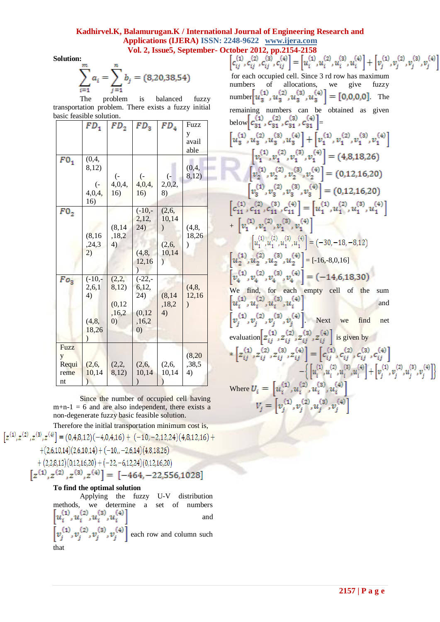# **Kadhirvel.K, Balamurugan.K / International Journal of Engineering Research and Applications (IJERA) ISSN: 2248-9622 www.ijera.com**

**Solution:**

$$
\sum_{i=1}^{m} a_i = \sum_{j=1}^{n} b_j = (8, 20, 38, 54)
$$

The problem is balanced fuzzy transportation problem. There exists a fuzzy initial basic feasible solution.

|             | $FD_1$           | FD <sub>2</sub>   | FD <sub>3</sub>   | $FD_4$            | Fuzz          |  |
|-------------|------------------|-------------------|-------------------|-------------------|---------------|--|
|             |                  |                   |                   |                   | у             |  |
|             |                  |                   |                   |                   | avail         |  |
|             |                  |                   |                   |                   | able          |  |
| $F0_1$      | (0,4,            |                   |                   |                   |               |  |
|             | 8,12)            |                   |                   |                   | (0,4,         |  |
|             |                  | $\overline{(-)}$  | $\overline{(-)}$  | $\left( -\right)$ | 8,12)         |  |
|             | $\overline{(-)}$ | 4,0,4,            | 4,0,4,            | 2,0,2,            |               |  |
|             | 4,0,4,           | 16)               | 16)               | 8)                |               |  |
|             | 16)              |                   |                   |                   |               |  |
| $F0_2$      |                  |                   | $(-10,-$          | (2,6,             |               |  |
|             |                  |                   | 2,12,             | 10,14             |               |  |
|             |                  | (8, 14)           | 24)               |                   | (4, 8,        |  |
|             | (8, 16)          | ,18,2             |                   |                   | 18,26         |  |
|             | , 24, 3          | 4)                |                   | (2,6,             | )             |  |
|             | 2)               |                   | (4, 8,            | 10,14             |               |  |
|             |                  |                   | 12,16             | $\mathcal{E}$     |               |  |
|             |                  |                   |                   |                   |               |  |
| $F o_3$     | $(-10,-$         | (2,2,             | $(-22, -$         |                   |               |  |
|             | 2,6,1            | 8,12)             | 6,12,             |                   | (4, 8,        |  |
|             | 4)               |                   | 24)               | (8, 14)           | 12,16         |  |
|             |                  | (0, 12)           |                   | ,18,2             | $\mathcal{E}$ |  |
|             |                  | ,16,2             | (0, 12)           | 4)                |               |  |
|             | (4, 8,           | $\left( 0\right)$ | ,16,2             |                   |               |  |
|             | 18,26            |                   | $\left( 0\right)$ |                   |               |  |
|             |                  |                   |                   |                   |               |  |
| <b>Fuzz</b> |                  |                   |                   |                   |               |  |
| y           |                  |                   |                   |                   | (8, 20)       |  |
| Requi       | (2,6,            | (2,2,             | (2,6,             | (2,6,             | ,38,5         |  |
| reme        |                  |                   |                   | 10,14             | 4)            |  |
|             | 10,14            | 8,12)             | 10,14             |                   |               |  |

Since the number of occupied cell having  $m+n-1 = 6$  and are also independent, there exists a non-degenerate fuzzy basic feasible solution.

Therefore the initial transportation minimum cost is,  
\n
$$
z^{(1)}, z^{(2)}, z^{(3)}, z^{(4)} = (0,4,8,12)(-4,0,4,16) + (-10,-2,12,24)(4,8,12,16) + (2,6,10,14)(2,6,10,14) + (-10,-2,6,14)(4,8,18,26) + (2,2,8,12)(0,12,16,20) + (-22,-6,12,24)(0,12,16,20) \n[ $z^{(1)}, z^{(2)}, z^{(3)}, z^{(4)}$ ] = [-464, -22,556,1028] **To find the optimal solution** Applying the fuzzy L.V- distributive
$$

Applying the fuzzy methods, we determine a set of numbers  $\left[u_i^{(1)}, u_i^{(2)}, u_i^{(3)}, u_i^{(4)}\right]$  and and  $[v_i^{(1)}, v_i^{(2)}, v_i^{(3)}, v_j^{(4)}]$  each row and column such that

**Vol. 2, Issue5, September- October 2012, pp.2154-2158**<br> $\begin{bmatrix} c_{ij}^{(1)}, c_{ij}^{(2)}, c_{ij}^{(3)}, c_{ij}^{(4)} \end{bmatrix} = \begin{bmatrix} u_i^{(1)}, u_i^{(2)}, u_i^{(3)}, u_i^{(4)} \end{bmatrix} + \begin{bmatrix} v_j^{(1)}, v_j^{(2)}, v_j^{(3)}, v_j^{(4)} \end{bmatrix}$ for each occupied cell. Since 3 rd row has maximum numbers of allocations, we give fuzzy number  $\left[u_{3}^{(1)}, u_{3}^{(2)}, u_{3}^{(3)}, u_{3}^{(4)}\right] = \left[0, 0, 0, 0\right]$ . The remaining numbers can be obtained as given below  $c_{31}^{\prime\prime}$ ,  $c_{31}^{\prime\prime}$ ,  $c_{31}^{\prime\prime}$ ,  $c_{31}^{\prime\prime}$  =  $\left[u_{3}^{(1)},u_{3}^{(2)},u_{3}^{(3)},u_{3}^{(4)}\right]+\left[v_{1}^{(1)},v_{1}^{(2)},v_{1}^{(3)},v_{1}^{(4)}\right]$  $\begin{bmatrix} v_1^{(1)}, v_1^{(2)}, v_1^{(3)}, v_1^{(4)} \end{bmatrix} = (4,8,18,26)$ <br> $\begin{bmatrix} v_2^{(1)}, v_2^{(2)}, v_2^{(3)}, v_2^{(4)} \end{bmatrix} = (0,12,16,20)$  $\left[v_3^{(1)}, v_3^{(2)}, v_3^{(3)}, v_3^{(4)}\right] = (0, 12, 16, 20)$  $\left[c_{11}^{(1)}, c_{11}^{(2)}, c_{11}^{(3)}, c_{11}^{(4)}\right] = \left[u_1^{(1)}, u_1^{(2)}, u_1^{(3)}, u_1^{(4)}\right]$ +  $\left[v_1^{(1)}, v_1^{(2)}, v_1^{(3)}, v_1^{(4)}\right]$  $\left[u_1^{(1)}, u_1^{(2)}, u_1^{(3)}, u_1^{(4)}\right] = (-30, -18, -8, 12)$  $\left[u_2^{(1)}, u_2^{(2)}, u_2^{(3)}, u_2^{(4)}\right] = [-16, -8, 0, 16]$  $\left[v_4^{(1)}, v_4^{(2)}, v_4^{(3)}, v_4^{(4)}\right] = (-14, 6, 18, 30)$ We find, for each empty cell of the sum and  $\left[v_i^{(1)}, v_i^{(2)}, v_i^{(3)}, v_i^{(4)}\right]$ . Next we find net evaluation  $z_{ij}^{(1)}, z_{ij}^{(2)}, z_{ij}^{(3)}, z_{ij}^{(4)}$  is given by  $* \left[ z_{ij}^{(1)}, z_{ij}^{(2)}, z_{ij}^{(3)}, z_{ij}^{(4)} \right] = \left[ c_{ij}^{(1)}, c_{ij}^{(2)}, c_{ij}^{(3)}, c_{ij}^{(4)} \right]$  $- \Big\{ \left[u_i^{(1)}, u_i^{(2)}, u_i^{(3)}, u_i^{(4)} \right] + \left[v_j^{(1)}, v_j^{(2)}, u_j^{(3)}, v_j^{(4)} \right] \Big\}$ Where  $U_i = \left[ u_i^{(1)}, u_i^{(2)}, u_i^{(3)}, u_i^{(4)} \right]$  $V_j = \left[ v_j^{(1)}, v_j^{(2)}, u_j^{(3)}, v_j^{(4)} \right]$